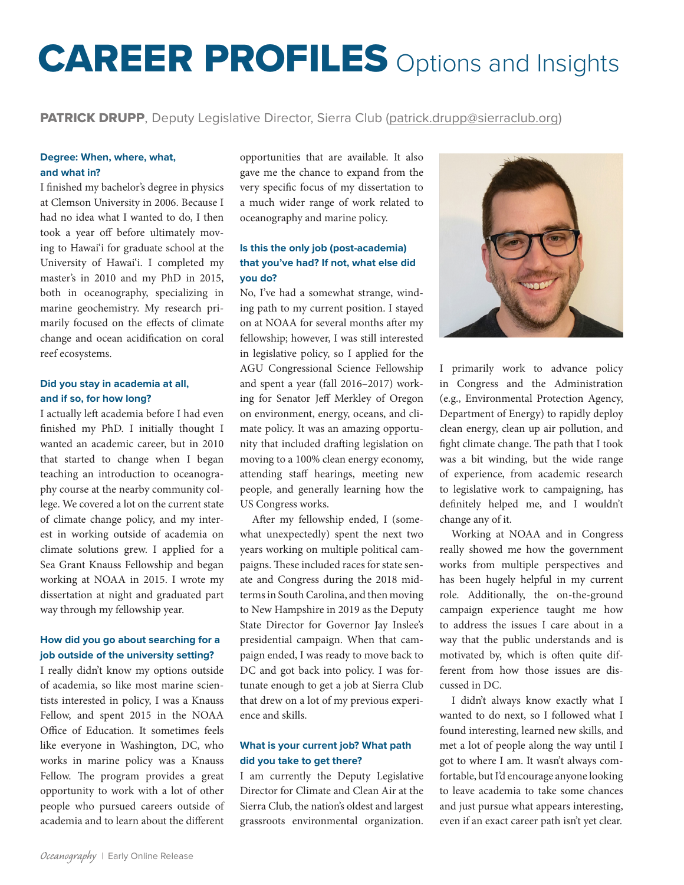# CAREER PROFILES Options and Insights

PATRICK DRUPP, Deputy Legislative Director, Sierra Club ([patrick.drupp@sierraclub.org](mailto:patrick.drupp%40sierraclub.org?subject=))

#### **Degree: When, where, what, and what in?**

I finished my bachelor's degree in physics at Clemson University in 2006. Because I had no idea what I wanted to do, I then took a year off before ultimately moving to Hawai'i for graduate school at the University of Hawai'i. I completed my master's in 2010 and my PhD in 2015, both in oceanography, specializing in marine geochemistry. My research primarily focused on the effects of climate change and ocean acidification on coral reef ecosystems.

#### **Did you stay in academia at all, and if so, for how long?**

I actually left academia before I had even finished my PhD. I initially thought I wanted an academic career, but in 2010 that started to change when I began teaching an introduction to oceanography course at the nearby community college. We covered a lot on the current state of climate change policy, and my interest in working outside of academia on climate solutions grew. I applied for a Sea Grant Knauss Fellowship and began working at NOAA in 2015. I wrote my dissertation at night and graduated part way through my fellowship year.

## **How did you go about searching for a job outside of the university setting?**

I really didn't know my options outside of academia, so like most marine scientists interested in policy, I was a Knauss Fellow, and spent 2015 in the NOAA Office of Education. It sometimes feels like everyone in Washington, DC, who works in marine policy was a Knauss Fellow. The program provides a great opportunity to work with a lot of other people who pursued careers outside of academia and to learn about the different

opportunities that are available. It also gave me the chance to expand from the very specific focus of my dissertation to a much wider range of work related to oceanography and marine policy.

# **Is this the only job (post-academia) that you've had? If not, what else did you do?**

No, I've had a somewhat strange, winding path to my current position. I stayed on at NOAA for several months after my fellowship; however, I was still interested in legislative policy, so I applied for the AGU Congressional Science Fellowship and spent a year (fall 2016–2017) working for Senator Jeff Merkley of Oregon on environment, energy, oceans, and climate policy. It was an amazing opportunity that included drafting legislation on moving to a 100% clean energy economy, attending staff hearings, meeting new people, and generally learning how the US Congress works.

After my fellowship ended, I (somewhat unexpectedly) spent the next two years working on multiple political campaigns. These included races for state senate and Congress during the 2018 midterms in South Carolina, and then moving to New Hampshire in 2019 as the Deputy State Director for Governor Jay Inslee's presidential campaign. When that campaign ended, I was ready to move back to DC and got back into policy. I was fortunate enough to get a job at Sierra Club that drew on a lot of my previous experience and skills.

#### **What is your current job? What path did you take to get there?**

I am currently the Deputy Legislative Director for Climate and Clean Air at the Sierra Club, the nation's oldest and largest grassroots environmental organization.



I primarily work to advance policy in Congress and the Administration (e.g., Environmental Protection Agency, Department of Energy) to rapidly deploy clean energy, clean up air pollution, and fight climate change. The path that I took was a bit winding, but the wide range of experience, from academic research to legislative work to campaigning, has definitely helped me, and I wouldn't change any of it.

Working at NOAA and in Congress really showed me how the government works from multiple perspectives and has been hugely helpful in my current role. Additionally, the on-the-ground campaign experience taught me how to address the issues I care about in a way that the public understands and is motivated by, which is often quite different from how those issues are discussed in DC.

I didn't always know exactly what I wanted to do next, so I followed what I found interesting, learned new skills, and met a lot of people along the way until I got to where I am. It wasn't always comfortable, but I'd encourage anyone looking to leave academia to take some chances and just pursue what appears interesting, even if an exact career path isn't yet clear.